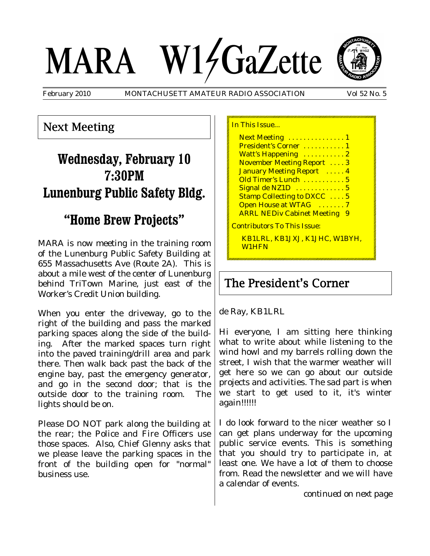# MARA W14GaZette

February 2010 MONTACHUSETT AMATEUR RADIO ASSOCIATION Vol 52 No. 5



Next Meeting

# **Wednesday, February 10 7:30PM Lunenburg Public Safety Bldg.**

## **"Home Brew Projects"**

MARA is now meeting in the training room of the Lunenburg Public Safety Building at 655 Massachusetts Ave (Route 2A). This is about a mile west of the center of Lunenburg behind TriTown Marine, just east of the Worker's Credit Union building.

When you enter the driveway, go to the right of the building and pass the marked parking spaces along the side of the building. After the marked spaces turn right into the paved training/drill area and park there. Then walk back past the back of the engine bay, past the emergency generator, and go in the second door; that is the outside door to the training room. The lights should be on.

Please DO NOT park along the building at the rear; the Police and Fire Officers use those spaces. Also, Chief Glenny asks that we please leave the parking spaces in the front of the building open for "normal" business use.

In This Issue... Next Meeting . . . . . . . . . . . . . 1 President's Corner . . . . . . . . . . 1 Watt's Happening ...........2 November Meeting Report . . . . 3 January Meeting Report ..... 4 Old Timer's Lunch . . . . . . . . . . . 5 Signal de NZ1D . . . . . . . . . . . . 5 Stamp Collecting to DXCC . . . . 5 Open House at WTAG . . . . . . . 7 **ARRL NEDiv Cabinet Meeting 9** Contributors To This Issue: KB1LRL, KB1JXJ, K1JHC, W1BYH, W1HFN

## The President's Corner

de Ray, KB1LRL

Hi everyone, I am sitting here thinking what to write about while listening to the wind howl and my barrels rolling down the street, I wish that the warmer weather will get here so we can go about our outside projects and activities. The sad part is when we start to get used to it, it's winter again!!!!!!

I do look forward to the nicer weather so I can get plans underway for the upcoming public service events. This is something that you should try to participate in, at least one. We have a lot of them to choose from. Read the newsletter and we will have a calendar of events.

*continued on next page*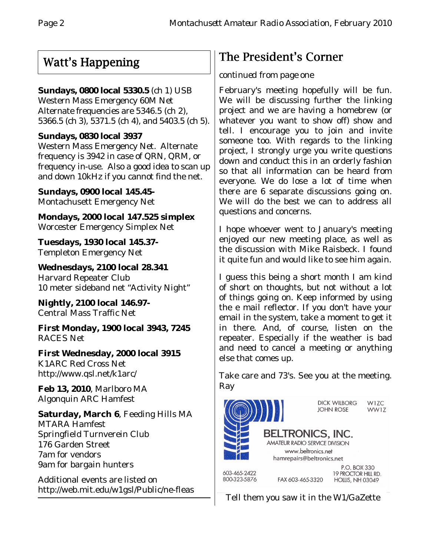# Watt's Happening

#### **Sundays, 0800 local 5330.5** (ch 1) USB

Western Mass Emergency 60M Net Alternate frequencies are 5346.5 (ch 2), 5366.5 (ch 3), 5371.5 (ch 4), and 5403.5 (ch 5).

#### **Sundays, 0830 local 3937**

Western Mass Emergency Net. Alternate frequency is 3942 in case of QRN, QRM, or frequency in-use. Also a good idea to scan up and down 10kHz if you cannot find the net.

**Sundays, 0900 local 145.45-** Montachusett Emergency Net

**Mondays, 2000 local 147.525 simplex** Worcester Emergency Simplex Net

**Tuesdays, 1930 local 145.37-** Templeton Emergency Net

**Wednesdays, 2100 local 28.341** Harvard Repeater Club 10 meter sideband net "Activity Night"

**Nightly, 2100 local 146.97-** Central Mass Traffic Net

**First Monday, 1900 local 3943, 7245** RACES Net

**First Wednesday, 2000 local 3915** K1ARC Red Cross Net http://www.qsl.net/k1arc/

**Feb 13, 2010**, Marlboro MA Algonquin ARC Hamfest

**Saturday, March 6**, Feeding Hills MA MTARA Hamfest Springfield Turnverein Club 176 Garden Street 7am for vendors 9am for bargain hunters

Additional events are listed on http://web.mit.edu/w1gsl/Public/ne-fleas

# The President's Corner

#### *continued from page one*

February's meeting hopefully will be fun. We will be discussing further the linking project and we are having a homebrew (or whatever you want to show off) show and tell. I encourage you to join and invite someone too. With regards to the linking project, I strongly urge you write questions down and conduct this in an orderly fashion so that all information can be heard from everyone. We do lose a lot of time when there are 6 separate discussions going on. We will do the best we can to address all questions and concerns.

I hope whoever went to January's meeting enjoyed our new meeting place, as well as the discussion with Mike Raisbeck. I found it quite fun and would like to see him again.

I guess this being a short month I am kind of short on thoughts, but not without a lot of things going on. Keep informed by using the e mail reflector. If you don't have your email in the system, take a moment to get it in there. And, of course, listen on the repeater. Especially if the weather is bad and need to cancel a meeting or anything else that comes up.

Take care and 73's. See you at the meeting. Ray



Tell them you saw it in the W1/GaZette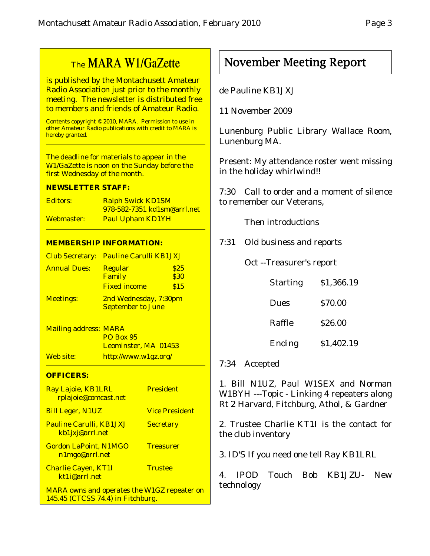## The MARA W1/GaZette

is published by the Montachusett Amateur Radio Association just prior to the monthly meeting. The newsletter is distributed free to members and friends of Amateur Radio.

Contents copyright © 2010, MARA. Permission to use in other Amateur Radio publications with credit to MARA is hereby granted.

The deadline for materials to appear in the W1/GaZette is noon on the Sunday before the first Wednesday of the month.

#### **NEWSLETTER STAFF:**

| Editors:   | <b>Ralph Swick KD1SM</b>           |
|------------|------------------------------------|
|            | <u>978-582-7351 kd1sm@arrl.net</u> |
| Webmaster: | <b>Paul Upham KD1YH</b>            |

#### **MEMBERSHIP INFORMATION:**

|                     | <b>Club Secretary: Pauline Carulli KB1JXJ</b>     |                     |
|---------------------|---------------------------------------------------|---------------------|
| <b>Annual Dues:</b> | <b>Regular</b><br>Family                          | \$25<br><b>\$30</b> |
|                     | <b>Fixed income</b>                               | \$15                |
| <b>Meetings:</b>    | 2nd Wednesday, 7:30pm<br><b>September to June</b> |                     |

| <b>Mailing address: MARA</b> |                      |
|------------------------------|----------------------|
|                              | <b>PO Box 95</b>     |
|                              | Leominster, MA 01453 |
| Web site:                    | http://www.w1gz.org/ |

#### **OFFICERS:**

| Ray Lajoie, KB1LRL<br>rplajoie@comcast.net                                              | <b>President</b>      |
|-----------------------------------------------------------------------------------------|-----------------------|
| <b>Bill Leger, N1UZ</b>                                                                 | <b>Vice President</b> |
| <b>Pauline Carulli, KB1JXJ</b><br>kb1jxj@arrl.net                                       | <b>Secretary</b>      |
| <b>Gordon LaPoint, N1MGO</b><br>n1mgo@arrl.net                                          | <b>Treasurer</b>      |
| <b>Charlie Cayen, KT1I</b><br>kt1i@arrl.net                                             | <b>Trustee</b>        |
| <b>MARA owns and operates the W1GZ repeater on</b><br>145.45 (CTCSS 74.4) in Fitchburg. |                       |

### November Meeting Report

#### de Pauline KB1JXJ

11 November 2009

Lunenburg Public Library Wallace Room, Lunenburg MA.

Present: My attendance roster went missing in the holiday whirlwind!!

7:30 Call to order and a moment of silence to remember our Veterans,

Then introductions

7:31 Old business and reports

Oct --Treasurer's report

| <b>Starting</b> | \$1,366.19 |
|-----------------|------------|
| <b>Dues</b>     | \$70.00    |
| Raffle          | \$26.00    |
| Ending          | \$1,402.19 |

#### 7:34 Accepted

1. Bill N1UZ, Paul W1SEX and Norman W1BYH ---Topic - Linking 4 repeaters along Rt 2 Harvard, Fitchburg, Athol, & Gardner

2. Trustee Charlie KT1I is the contact for the club inventory

3. ID'S If you need one tell Ray KB1LRL

4. IPOD Touch Bob KB1JZU- New technology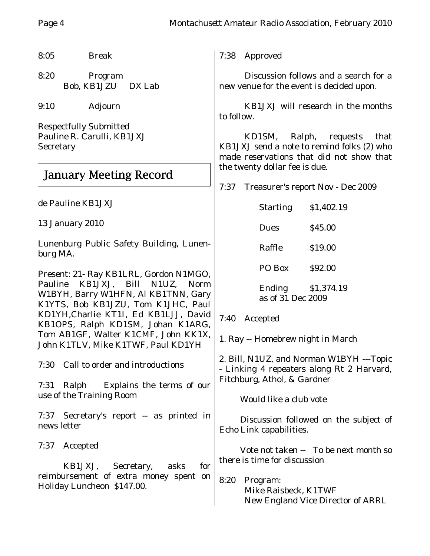8:05 Break

8:20 Program Bob, KB1JZU DX Lab

9:10 Adjourn

Respectfully Submitted Pauline R. Carulli, KB1JXJ **Secretary** 

## January Meeting Record

de Pauline KB1JXJ

13 January 2010

Lunenburg Public Safety Building, Lunenburg MA.

Present: 21- Ray KB1LRL, Gordon N1MGO, Pauline KB1JXJ, Bill N1UZ, Norm W1BYH, Barry W1HFN, Al KB1TNN, Gary K1YTS, Bob KB1JZU, Tom K1JHC, Paul KD1YH,Charlie KT1I, Ed KB1LJJ, David KB1OPS, Ralph KD1SM, Johan K1ARG, Tom AB1GF, Walter K1CMF, John KK1X, John K1TLV, Mike K1TWF, Paul KD1YH

7:30 Call to order and introductions

7:31 Ralph Explains the terms of our use of the Training Room

7:37 Secretary's report -- as printed in news letter

7:37 Accepted

KB1JXJ, Secretary, asks for reimbursement of extra money spent on Holiday Luncheon \$147.00.

7:38 Approved

Discussion follows and a search for a new venue for the event is decided upon.

KB1JXJ will research in the months to follow.

KD1SM, Ralph, requests that KB1JXJ send a note to remind folks (2) who made reservations that did not show that the twenty dollar fee is due.

7:37 Treasurer's report Nov - Dec 2009

| <b>Starting</b>   | \$1,402.19 |
|-------------------|------------|
| Dues              | \$45.00    |
| Raffle            | \$19.00    |
| PO Box            | \$92.00    |
| Ending            | \$1,374.19 |
| as of 31 Dec 2009 |            |

7:40 Accepted

1. Ray -- Homebrew night in March

2. Bill, N1UZ, and Norman W1BYH ---Topic - Linking 4 repeaters along Rt 2 Harvard, Fitchburg, Athol, & Gardner

Would like a club vote

Discussion followed on the subject of Echo Link capabilities.

Vote not taken -- To be next month so there is time for discussion

8:20 Program: Mike Raisbeck, K1TWF New England Vice Director of ARRL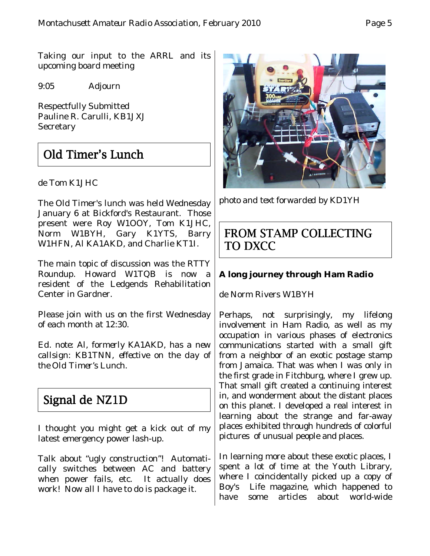Taking our input to the ARRL and its upcoming board meeting

9:05 Adjourn

Respectfully Submitted Pauline R. Carulli, KB1JXJ **Secretary** 

## Old Timer's Lunch

de Tom K1JHC

The Old Timer's lunch was held Wednesday January 6 at Bickford's Restaurant. Those present were Roy W1OOY, Tom K1JHC, Norm W1BYH, Gary K1YTS, Barry W1HFN, Al KA1AKD, and Charlie KT1I.

The main topic of discussion was the RTTY Roundup. Howard W1TQB is now a resident of the Ledgends Rehabilitation Center in Gardner.

Please join with us on the first Wednesday of each month at 12:30.

*Ed. note: Al, formerly KA1AKD, has a new callsign: KB1TNN, effective on the day of the Old Timer's Lunch.*

## Signal de NZ1D

I thought you might get a kick out of my latest emergency power lash-up.

Talk about "ugly construction"! Automatically switches between AC and battery when power fails, etc. It actually does work! Now all I have to do is package it.

*photo and text forwarded by KD1YH*

## FROM STAMP COLLECTING TO DXCC

#### **A long journey through Ham Radio**

de Norm Rivers W1BYH

Perhaps, not surprisingly, my lifelong involvement in Ham Radio, as well as my occupation in various phases of electronics communications started with a small gift from a neighbor of an exotic postage stamp from Jamaica. That was when I was only in the first grade in Fitchburg, where I grew up. That small gift created a continuing interest in, and wonderment about the distant places on this planet. I developed a real interest in learning about the strange and far-away places exhibited through hundreds of colorful pictures of unusual people and places.

In learning more about these exotic places, I spent a lot of time at the Youth Library, where I coincidentally picked up a copy of Boy's Life magazine, which happened to have some articles about world-wide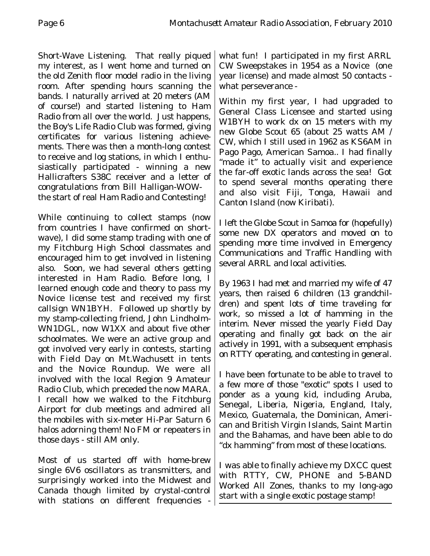Short-Wave Listening. That really piqued my interest, as I went home and turned on the old Zenith floor model radio in the living room. After spending hours scanning the bands. I naturally arrived at 20 meters (AM of course!) and started listening to Ham Radio from all over the world. Just happens, the Boy's Life Radio Club was formed, giving certificates for various listening achievements. There was then a month-long contest to receive and log stations, in which I enthusiastically participated - winning a new Hallicrafters S38C receiver and a letter of congratulations from Bill Halligan-WOWthe start of real Ham Radio and Contesting!

While continuing to collect stamps (now from countries I have confirmed on shortwave), I did some stamp trading with one of my Fitchburg High School classmates and encouraged him to get involved in listening also. Soon, we had several others getting interested in Ham Radio. Before long, I learned enough code and theory to pass my Novice license test and received my first callsign WN1BYH. Followed up shortly by my stamp-collecting friend, John Lindholm-WN1DGL, now W1XX and about five other schoolmates. We were an active group and got involved very early in contests, starting with Field Day on Mt.Wachusett in tents and the Novice Roundup. We were all involved with the local Region 9 Amateur Radio Club, which preceded the now MARA. I recall how we walked to the Fitchburg Airport for club meetings and admired all the mobiles with six-meter Hi-Par Saturn 6 halos adorning them! No FM or repeaters in those days - still AM only.

Most of us started off with home-brew single 6V6 oscillators as transmitters, and surprisingly worked into the Midwest and Canada though limited by crystal-control with stations on different frequencies -

what fun! I participated in my first ARRL CW Sweepstakes in 1954 as a Novice (one year license) and made almost 50 contacts what perseverance -

Within my first year, I had upgraded to General Class Licensee and started using W1BYH to work dx on 15 meters with my new Globe Scout 65 (about 25 watts AM / CW, which I still used in 1962 as KS6AM in Pago Pago, American Samoa.. I had finally "made it" to actually visit and experience the far-off exotic lands across the sea! Got to spend several months operating there and also visit Fiji, Tonga, Hawaii and Canton Island (now Kiribati).

I left the Globe Scout in Samoa for (hopefully) some new DX operators and moved on to spending more time involved in Emergency Communications and Traffic Handling with several ARRL and local activities.

By 1963 I had met and married my wife of 47 years, then raised 6 children (13 grandchildren) and spent lots of time traveling for work, so missed a lot of hamming in the interim. Never missed the yearly Field Day operating and finally got back on the air actively in 1991, with a subsequent emphasis on RTTY operating, and contesting in general.

I have been fortunate to be able to travel to a few more of those "exotic" spots I used to ponder as a young kid, including Aruba, Senegal, Liberia, Nigeria, England, Italy, Mexico, Guatemala, the Dominican, American and British Virgin Islands, Saint Martin and the Bahamas, and have been able to do "dx hamming" from most of these locations.

I was able to finally achieve my DXCC quest with RTTY, CW, PHONE and 5-BAND Worked All Zones, thanks to my long-ago start with a single exotic postage stamp!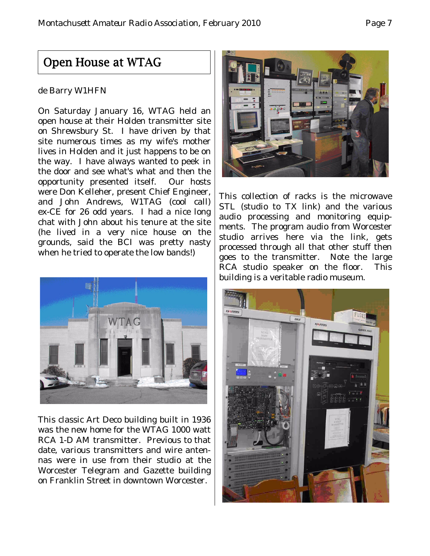#### Open House at WTAG

#### de Barry W1HFN

On Saturday January 16, WTAG held an open house at their Holden transmitter site on Shrewsbury St. I have driven by that site numerous times as my wife's mother lives in Holden and it just happens to be on the way. I have always wanted to peek in the door and see what's what and then the opportunity presented itself. Our hosts were Don Kelleher, present Chief Engineer, and John Andrews, W1TAG (cool call) ex-CE for 26 odd years. I had a nice long chat with John about his tenure at the site (he lived in a very nice house on the grounds, said the BCI was pretty nasty when he tried to operate the low bands!)



This classic Art Deco building built in 1936 was the new home for the WTAG 1000 watt RCA 1-D AM transmitter. Previous to that date, various transmitters and wire antennas were in use from their studio at the Worcester Telegram and Gazette building on Franklin Street in downtown Worcester.



This collection of racks is the microwave STL (studio to TX link) and the various audio processing and monitoring equipments. The program audio from Worcester studio arrives here via the link, gets processed through all that other stuff then goes to the transmitter. Note the large RCA studio speaker on the floor. This building is a veritable radio museum.

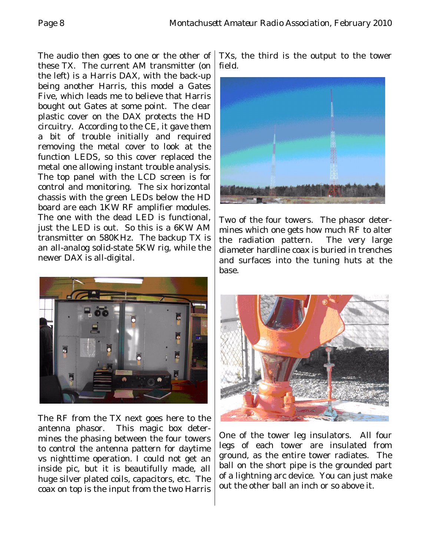The audio then goes to one or the other of these TX. The current AM transmitter (on the left) is a Harris DAX, with the back-up being another Harris, this model a Gates Five, which leads me to believe that Harris bought out Gates at some point. The clear plastic cover on the DAX protects the HD circuitry. According to the CE, it gave them a bit of trouble initially and required removing the metal cover to look at the function LEDS, so this cover replaced the metal one allowing instant trouble analysis. The top panel with the LCD screen is for control and monitoring. The six horizontal chassis with the green LEDs below the HD board are each 1KW RF amplifier modules. The one with the dead LED is functional, just the LED is out. So this is a 6KW AM transmitter on 580KHz. The backup TX is an all-analog solid-state 5KW rig, while the newer DAX is all-digital.



The RF from the TX next goes here to the antenna phasor. This magic box determines the phasing between the four towers to control the antenna pattern for daytime vs nighttime operation. I could not get an inside pic, but it is beautifully made, all huge silver plated coils, capacitors, etc. The coax on top is the input from the two Harris

TXs, the third is the output to the tower field.



Two of the four towers. The phasor determines which one gets how much RF to alter the radiation pattern. The very large diameter hardline coax is buried in trenches and surfaces into the tuning huts at the base.



One of the tower leg insulators. All four legs of each tower are insulated from ground, as the entire tower radiates. The ball on the short pipe is the grounded part of a lightning arc device. You can just make out the other ball an inch or so above it.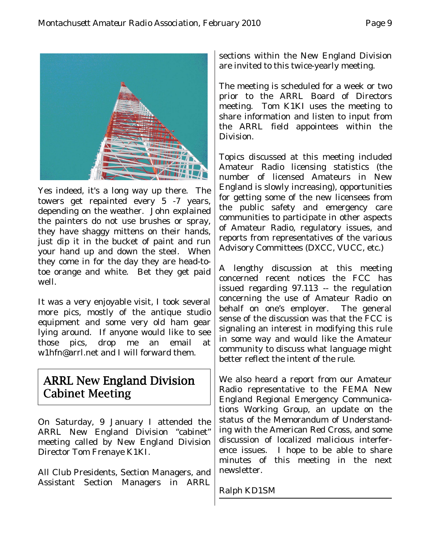

Yes indeed, it's a long way up there. The towers get repainted every 5 -7 years, depending on the weather. John explained the painters do not use brushes or spray, they have shaggy mittens on their hands, just dip it in the bucket of paint and run your hand up and down the steel. When they come in for the day they are head-totoe orange and white. Bet they get paid well.

It was a very enjoyable visit, I took several more pics, mostly of the antique studio equipment and some very old ham gear lying around. If anyone would like to see those pics, drop me an email at w1hfn@arrl.net and I will forward them.

#### ARRL New England Division Cabinet Meeting

On Saturday, 9 January I attended the ARRL New England Division "cabinet" meeting called by New England Division Director Tom Frenaye K1KI.

All Club Presidents, Section Managers, and Assistant Section Managers in ARRL

sections within the New England Division are invited to this twice-yearly meeting.

The meeting is scheduled for a week or two prior to the ARRL Board of Directors meeting. Tom K1KI uses the meeting to share information and listen to input from the ARRL field appointees within the Division.

Topics discussed at this meeting included Amateur Radio licensing statistics (the number of licensed Amateurs in New England is slowly increasing), opportunities for getting some of the new licensees from the public safety and emergency care communities to participate in other aspects of Amateur Radio, regulatory issues, and reports from representatives of the various Advisory Committees (DXCC, VUCC, etc.)

A lengthy discussion at this meeting concerned recent notices the FCC has issued regarding 97.113 -- the regulation concerning the use of Amateur Radio on behalf on one's employer. The general sense of the discussion was that the FCC is signaling an interest in modifying this rule in some way and would like the Amateur community to discuss what language might better reflect the intent of the rule.

We also heard a report from our Amateur Radio representative to the FEMA New England Regional Emergency Communications Working Group, an update on the status of the Memorandum of Understanding with the American Red Cross, and some discussion of localized malicious interference issues.I hope to be able to share minutes of this meeting in the next newsletter.

Ralph KD1SM